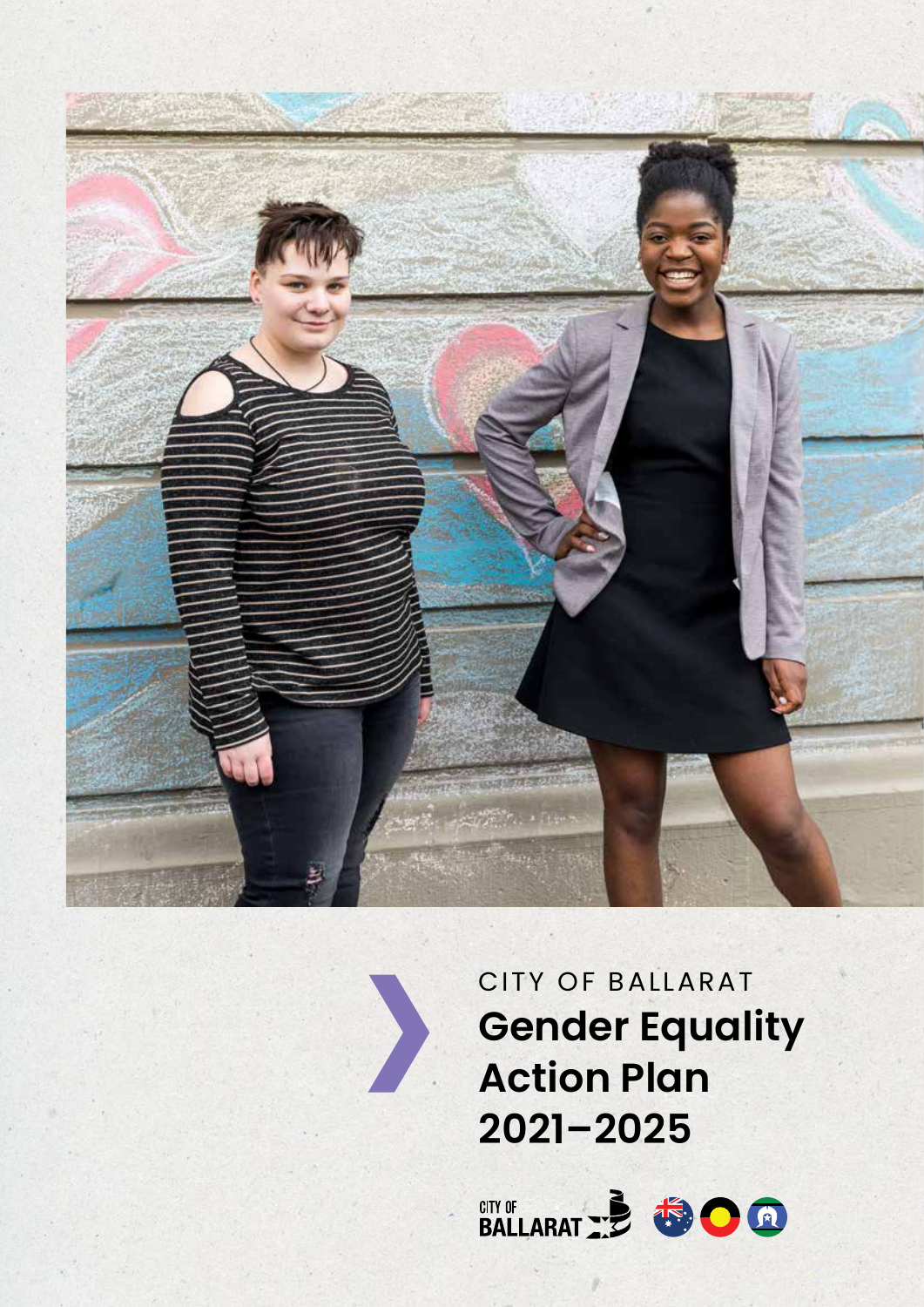



# CITY OF BALLARAT **Gender Equality Action Plan 2021–2025**

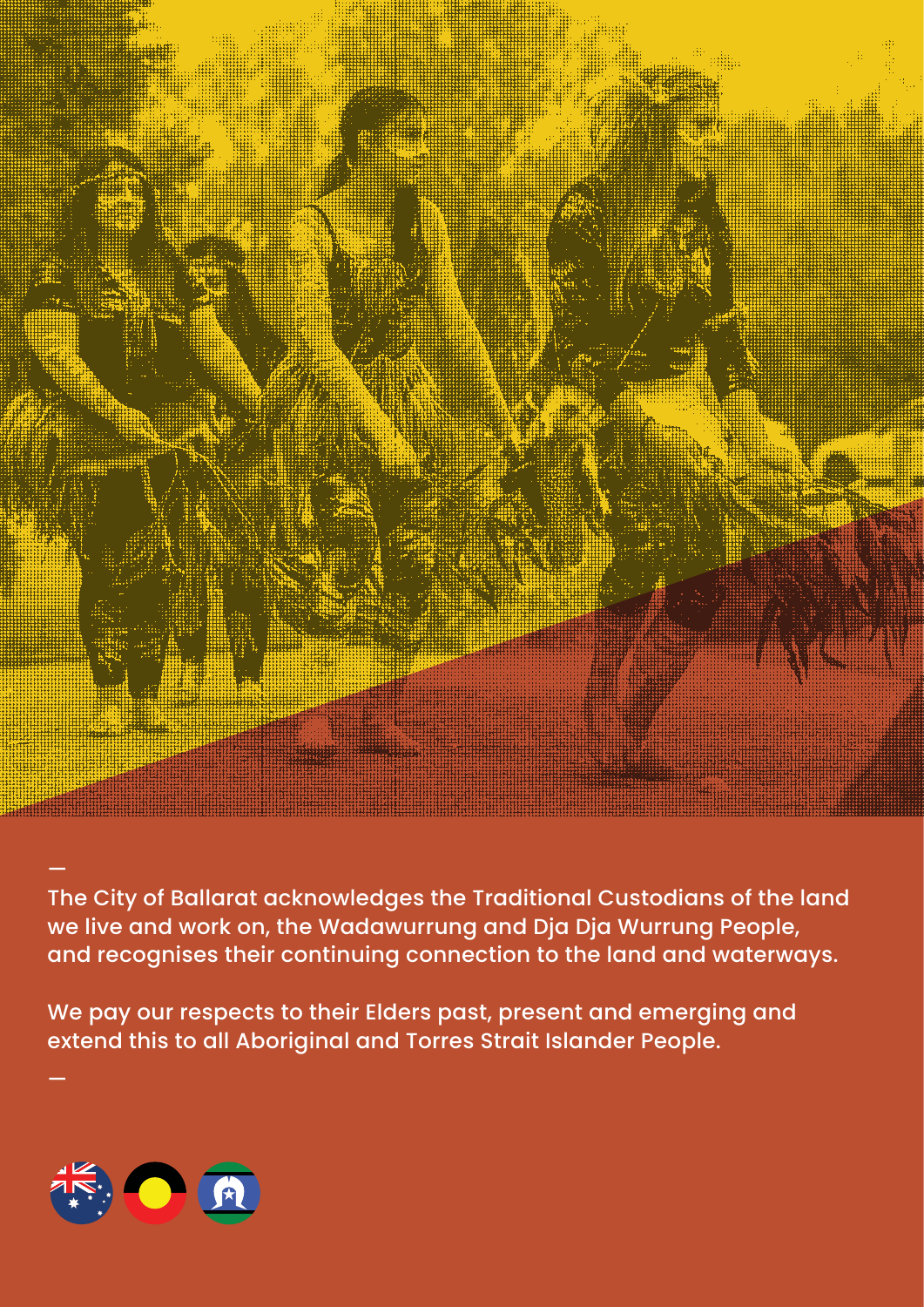

— The City of Ballarat acknowledges the Traditional Custodians of the land we live and work on, the Wadawurrung and Dja Dja Wurrung People, and recognises their continuing connection to the land and waterways.

We pay our respects to their Elders past, present and emerging and extend this to all Aboriginal and Torres Strait Islander People.



—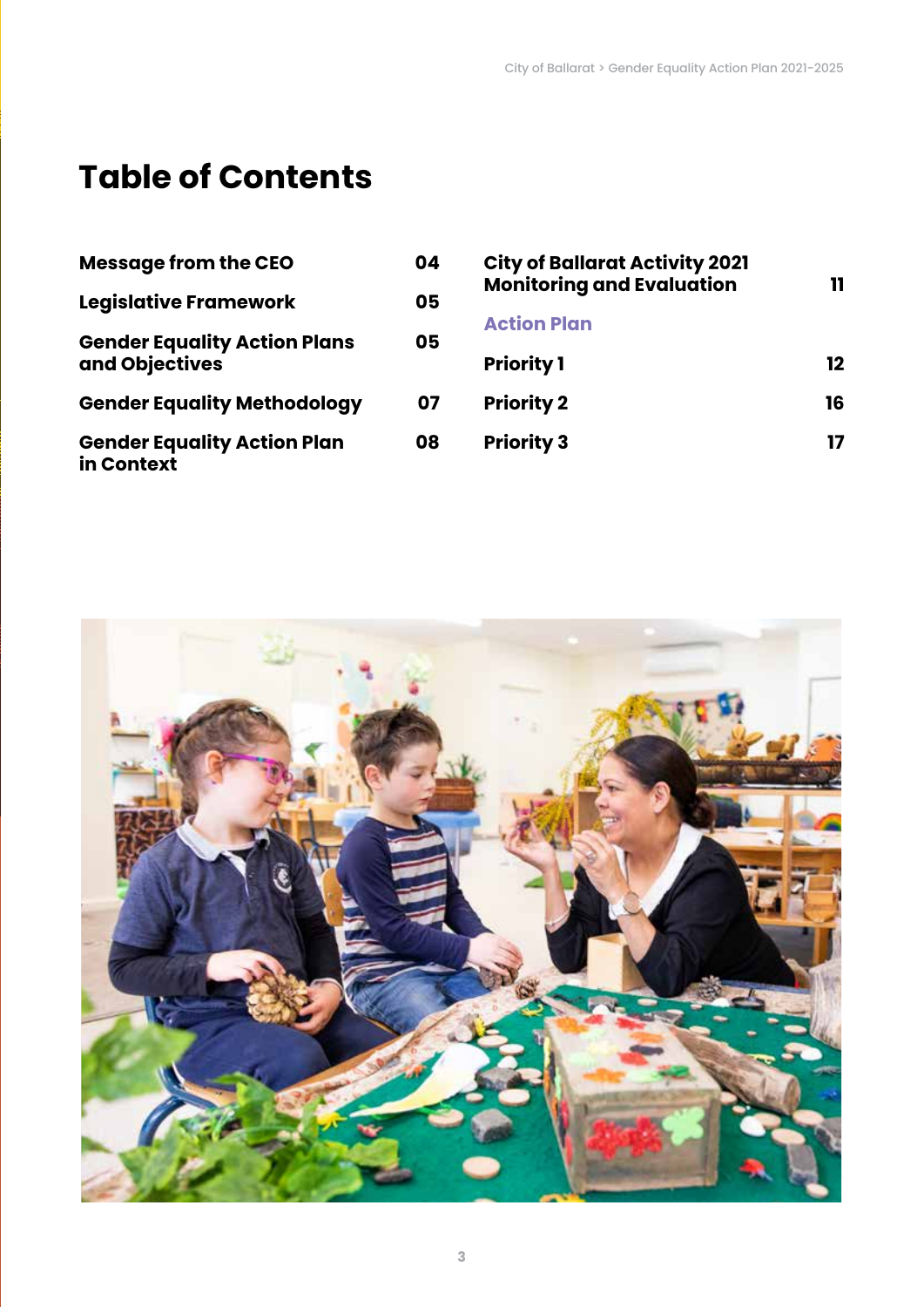# **Table of Contents**

| <b>Message from the CEO</b>                      | 04 | <b>City of Ballarat Activity 2021</b> |         |
|--------------------------------------------------|----|---------------------------------------|---------|
| Legislative Framework                            | 05 | <b>Monitoring and Evaluation</b>      | 11      |
| <b>Gender Equality Action Plans</b>              | 05 | <b>Action Plan</b>                    |         |
| and Objectives                                   |    | <b>Priority 1</b>                     | $12 \,$ |
| <b>Gender Equality Methodology</b>               | 07 | <b>Priority 2</b>                     | 16      |
| <b>Gender Equality Action Plan</b><br>in Context | 08 | <b>Priority 3</b>                     | 17      |

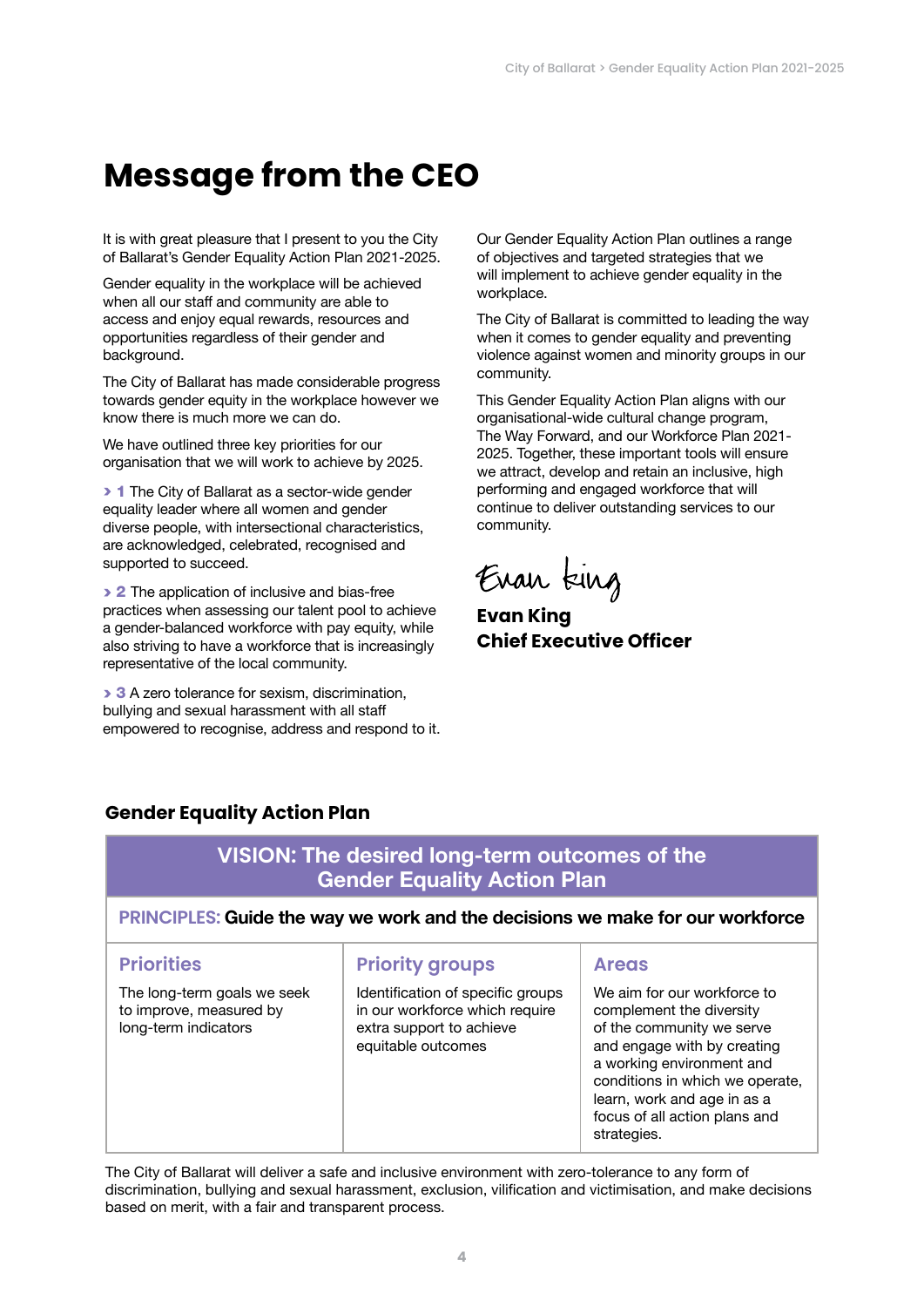## **Message from the CEO**

It is with great pleasure that I present to you the City of Ballarat's Gender Equality Action Plan 2021-2025.

Gender equality in the workplace will be achieved when all our staff and community are able to access and enjoy equal rewards, resources and opportunities regardless of their gender and background.

The City of Ballarat has made considerable progress towards gender equity in the workplace however we know there is much more we can do.

We have outlined three key priorities for our organisation that we will work to achieve by 2025.

**>** 1 The City of Ballarat as a sector-wide gender equality leader where all women and gender diverse people, with intersectional characteristics, are acknowledged, celebrated, recognised and supported to succeed.

**>** 2 The application of inclusive and bias-free practices when assessing our talent pool to achieve a gender-balanced workforce with pay equity, while also striving to have a workforce that is increasingly representative of the local community.

**>** 3 A zero tolerance for sexism, discrimination, bullying and sexual harassment with all staff empowered to recognise, address and respond to it. Our Gender Equality Action Plan outlines a range of objectives and targeted strategies that we will implement to achieve gender equality in the workplace.

The City of Ballarat is committed to leading the way when it comes to gender equality and preventing violence against women and minority groups in our community.

This Gender Equality Action Plan aligns with our organisational-wide cultural change program, The Way Forward, and our Workforce Plan 2021- 2025. Together, these important tools will ensure we attract, develop and retain an inclusive, high performing and engaged workforce that will continue to deliver outstanding services to our community.

Evan king

**Evan King Chief Executive Officer**

#### **Gender Equality Action Plan**

### **VISION:** The desired long-term outcomes of the Gender Equality Action Plan

#### **PRINCIPLES:** Guide the way we work and the decisions we make for our workforce

#### **Priorities**

The long-term goals we seek to improve, measured by long-term indicators

#### **Priority groups**

Identification of specific groups in our workforce which require extra support to achieve equitable outcomes

#### **Areas**

We aim for our workforce to complement the diversity of the community we serve and engage with by creating a working environment and conditions in which we operate, learn, work and age in as a focus of all action plans and strategies.

The City of Ballarat will deliver a safe and inclusive environment with zero-tolerance to any form of discrimination, bullying and sexual harassment, exclusion, vilification and victimisation, and make decisions based on merit, with a fair and transparent process.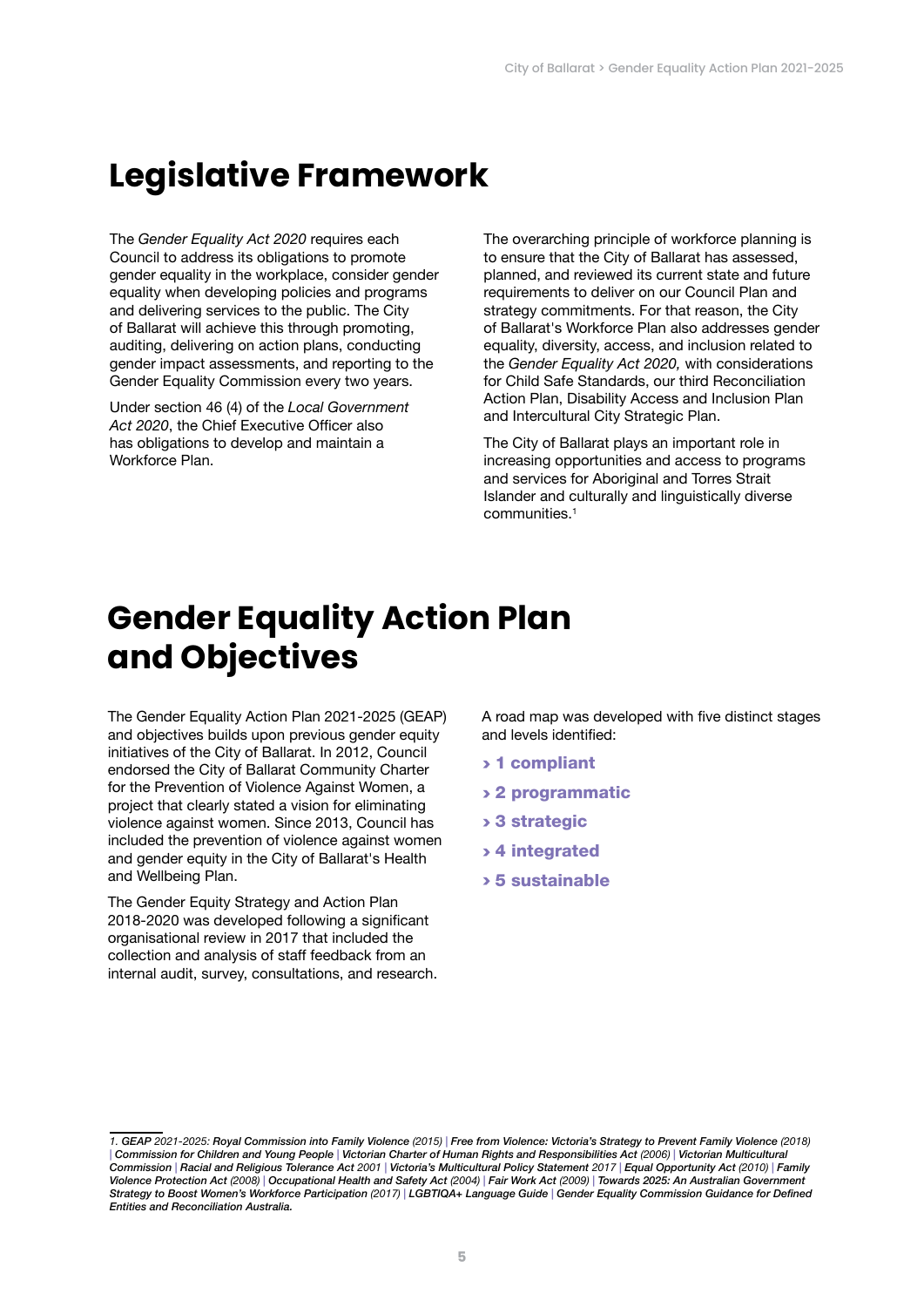## **Legislative Framework**

The *Gender Equality Act 2020* requires each Council to address its obligations to promote gender equality in the workplace, consider gender equality when developing policies and programs and delivering services to the public. The City of Ballarat will achieve this through promoting, auditing, delivering on action plans, conducting gender impact assessments, and reporting to the Gender Equality Commission every two years.

Under section 46 (4) of the *Local Government Act 2020*, the Chief Executive Officer also has obligations to develop and maintain a Workforce Plan.

The overarching principle of workforce planning is to ensure that the City of Ballarat has assessed, planned, and reviewed its current state and future requirements to deliver on our Council Plan and strategy commitments. For that reason, the City of Ballarat's Workforce Plan also addresses gender equality, diversity, access, and inclusion related to the *Gender Equality Act 2020,* with considerations for Child Safe Standards, our third Reconciliation Action Plan, Disability Access and Inclusion Plan and Intercultural City Strategic Plan.

The City of Ballarat plays an important role in increasing opportunities and access to programs and services for Aboriginal and Torres Strait Islander and culturally and linguistically diverse communities.1

## **Gender Equality Action Plan and Objectives**

The Gender Equality Action Plan 2021-2025 (GEAP) and objectives builds upon previous gender equity initiatives of the City of Ballarat. In 2012, Council endorsed the City of Ballarat Community Charter for the Prevention of Violence Against Women, a project that clearly stated a vision for eliminating violence against women. Since 2013, Council has included the prevention of violence against women and gender equity in the City of Ballarat's Health and Wellbeing Plan.

The Gender Equity Strategy and Action Plan 2018-2020 was developed following a significant organisational review in 2017 that included the collection and analysis of staff feedback from an internal audit, survey, consultations, and research. A road map was developed with five distinct stages and levels identified:

- **>** 1 compliant
- **>** 2 programmatic
- **>** 3 strategic
- **>** 4 integrated
- **>** 5 sustainable

*<sup>1.</sup> GEAP 2021-2025: Royal Commission into Family Violence (2015)* | *Free from Violence: Victoria's Strategy to Prevent Family Violence (2018)*  | *Commission for Children and Young People* | *Victorian Charter of Human Rights and Responsibilities Act (2006)* | *Victorian Multicultural Commission* | *Racial and Religious Tolerance Act 2001* | *Victoria's Multicultural Policy Statement 2017* | *Equal Opportunity Act (2010)* | *Family Violence Protection Act (2008)* | *Occupational Health and Safety Act (2004)* | *Fair Work Act (2009)* | *Towards 2025: An Australian Government Strategy to Boost Women's Workforce Participation (2017)* | *LGBTIQA+ Language Guide* | Gender Equality Commission Guidance for Defined *Entities and Reconciliation Australia.*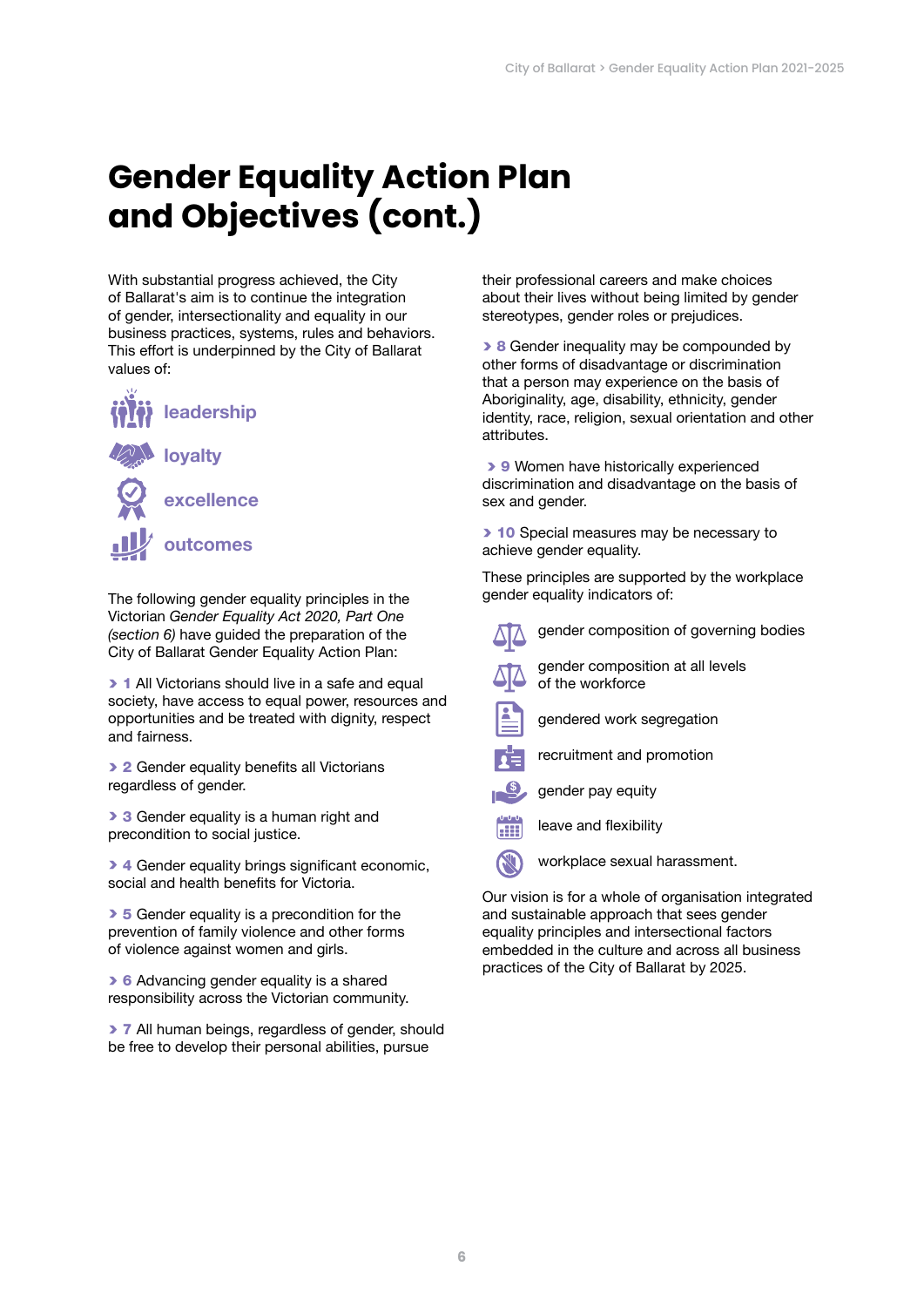# **Gender Equality Action Plan and Objectives (cont.)**

With substantial progress achieved, the City of Ballarat's aim is to continue the integration of gender, intersectionality and equality in our business practices, systems, rules and behaviors. This effort is underpinned by the City of Ballarat values of:



The following gender equality principles in the Victorian *Gender Equality Act 2020, Part One (section 6)* have guided the preparation of the City of Ballarat Gender Equality Action Plan:

**>** 1 All Victorians should live in a safe and equal society, have access to equal power, resources and opportunities and be treated with dignity, respect and fairness.

**>** 2 Gender equality benefits all Victorians regardless of gender.

**>** 3 Gender equality is a human right and precondition to social justice.

**>** 4 Gender equality brings significant economic, social and health benefits for Victoria.

**>** 5 Gender equality is a precondition for the prevention of family violence and other forms of violence against women and girls.

**>** 6 Advancing gender equality is a shared responsibility across the Victorian community.

**>** 7 All human beings, regardless of gender, should be free to develop their personal abilities, pursue

their professional careers and make choices about their lives without being limited by gender stereotypes, gender roles or prejudices.

**>** 8 Gender inequality may be compounded by other forms of disadvantage or discrimination that a person may experience on the basis of Aboriginality, age, disability, ethnicity, gender identity, race, religion, sexual orientation and other attributes.

**>** 9 Women have historically experienced discrimination and disadvantage on the basis of sex and gender.

**>** 10 Special measures may be necessary to achieve gender equality.

These principles are supported by the workplace gender equality indicators of:





gender composition at all levels of the workforce



gendered work segregation

recruitment and promotion



gender pay equity



leave and flexibility



workplace sexual harassment.

Our vision is for a whole of organisation integrated and sustainable approach that sees gender equality principles and intersectional factors embedded in the culture and across all business practices of the City of Ballarat by 2025.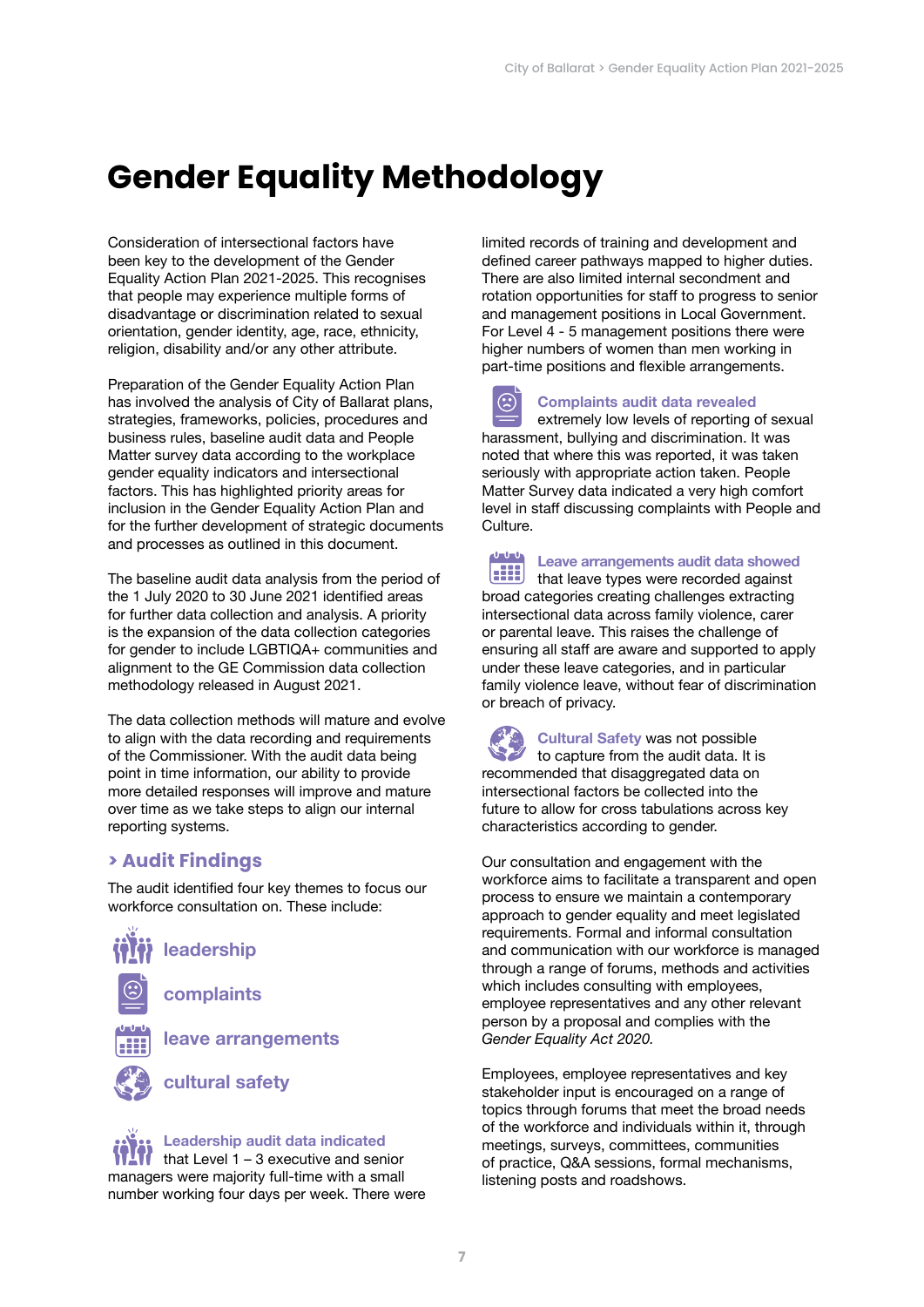## **Gender Equality Methodology**

Consideration of intersectional factors have been key to the development of the Gender Equality Action Plan 2021-2025. This recognises that people may experience multiple forms of disadvantage or discrimination related to sexual orientation, gender identity, age, race, ethnicity, religion, disability and/or any other attribute.

Preparation of the Gender Equality Action Plan has involved the analysis of City of Ballarat plans, strategies, frameworks, policies, procedures and business rules, baseline audit data and People Matter survey data according to the workplace gender equality indicators and intersectional factors. This has highlighted priority areas for inclusion in the Gender Equality Action Plan and for the further development of strategic documents and processes as outlined in this document.

The baseline audit data analysis from the period of the 1 July 2020 to 30 June 2021 identified areas for further data collection and analysis. A priority is the expansion of the data collection categories for gender to include LGBTIQA+ communities and alignment to the GE Commission data collection methodology released in August 2021.

The data collection methods will mature and evolve to align with the data recording and requirements of the Commissioner. With the audit data being point in time information, our ability to provide more detailed responses will improve and mature over time as we take steps to align our internal reporting systems.

#### **> Audit Findings**

The audit identified four key themes to focus our workforce consultation on. These include:





complaints



leave arrangements

cultural safety

Leadership audit data indicated that Level 1 – 3 executive and senior managers were majority full-time with a small number working four days per week. There were limited records of training and development and defined career pathways mapped to higher duties. There are also limited internal secondment and rotation opportunities for staff to progress to senior and management positions in Local Government. For Level 4 - 5 management positions there were higher numbers of women than men working in part-time positions and flexible arrangements.

 $\odot$ Complaints audit data revealed extremely low levels of reporting of sexual harassment, bullying and discrimination. It was noted that where this was reported, it was taken seriously with appropriate action taken. People Matter Survey data indicated a very high comfort level in staff discussing complaints with People and Culture.

Leave arrangements audit data showed H that leave types were recorded against broad categories creating challenges extracting intersectional data across family violence, carer or parental leave. This raises the challenge of ensuring all staff are aware and supported to apply under these leave categories, and in particular family violence leave, without fear of discrimination or breach of privacy.

Cultural Safety was not possible to capture from the audit data. It is recommended that disaggregated data on intersectional factors be collected into the future to allow for cross tabulations across key characteristics according to gender.

Our consultation and engagement with the workforce aims to facilitate a transparent and open process to ensure we maintain a contemporary approach to gender equality and meet legislated requirements. Formal and informal consultation and communication with our workforce is managed through a range of forums, methods and activities which includes consulting with employees, employee representatives and any other relevant person by a proposal and complies with the *Gender Equality Act 2020.*

Employees, employee representatives and key stakeholder input is encouraged on a range of topics through forums that meet the broad needs of the workforce and individuals within it, through meetings, surveys, committees, communities of practice, Q&A sessions, formal mechanisms, listening posts and roadshows.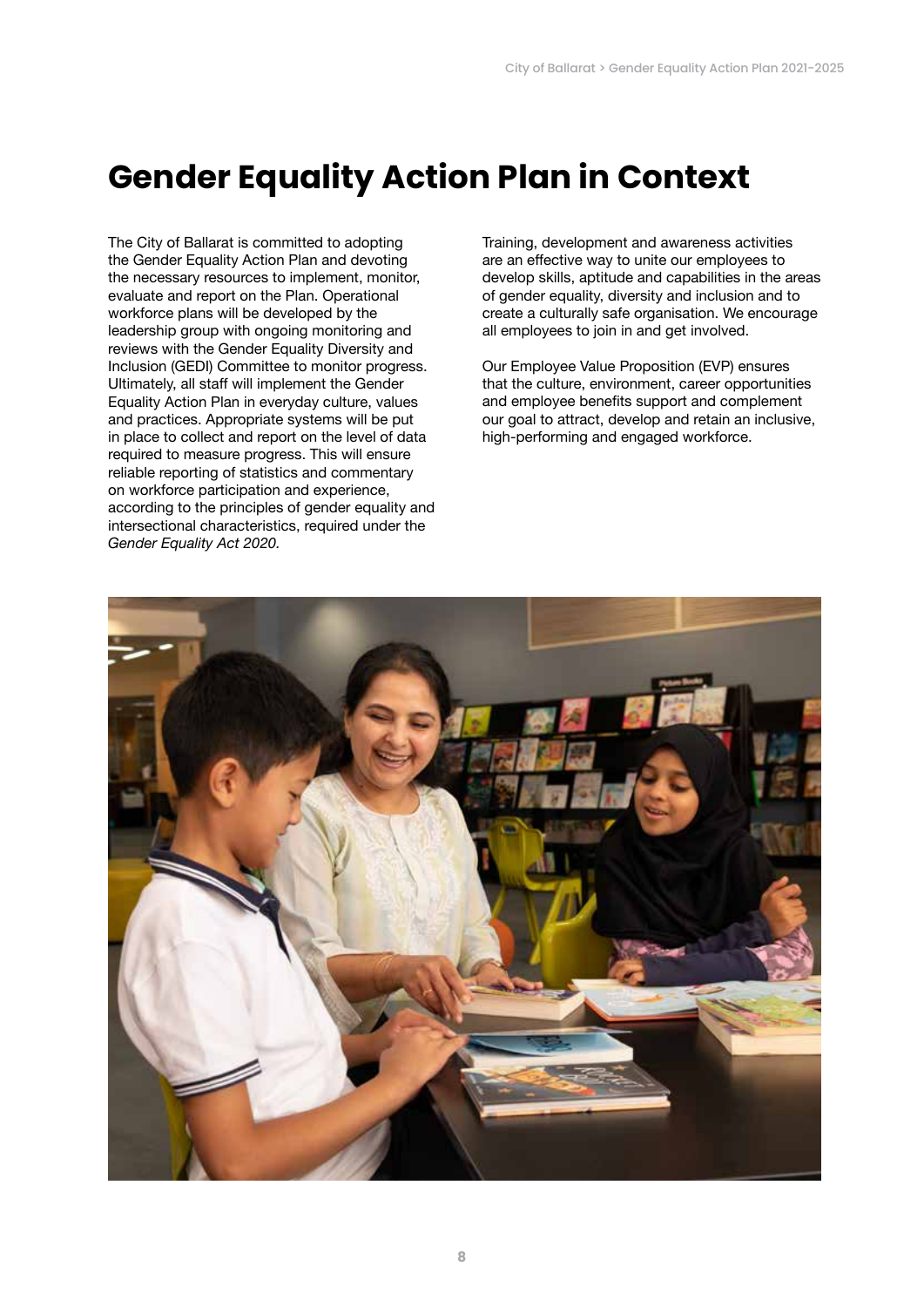## **Gender Equality Action Plan in Context**

The City of Ballarat is committed to adopting the Gender Equality Action Plan and devoting the necessary resources to implement, monitor, evaluate and report on the Plan. Operational workforce plans will be developed by the leadership group with ongoing monitoring and reviews with the Gender Equality Diversity and Inclusion (GEDI) Committee to monitor progress. Ultimately, all staff will implement the Gender Equality Action Plan in everyday culture, values and practices. Appropriate systems will be put in place to collect and report on the level of data required to measure progress. This will ensure reliable reporting of statistics and commentary on workforce participation and experience, according to the principles of gender equality and intersectional characteristics, required under the *Gender Equality Act 2020.* 

Training, development and awareness activities are an effective way to unite our employees to develop skills, aptitude and capabilities in the areas of gender equality, diversity and inclusion and to create a culturally safe organisation. We encourage all employees to join in and get involved.

Our Employee Value Proposition (EVP) ensures that the culture, environment, career opportunities and employee benefits support and complement our goal to attract, develop and retain an inclusive, high-performing and engaged workforce.

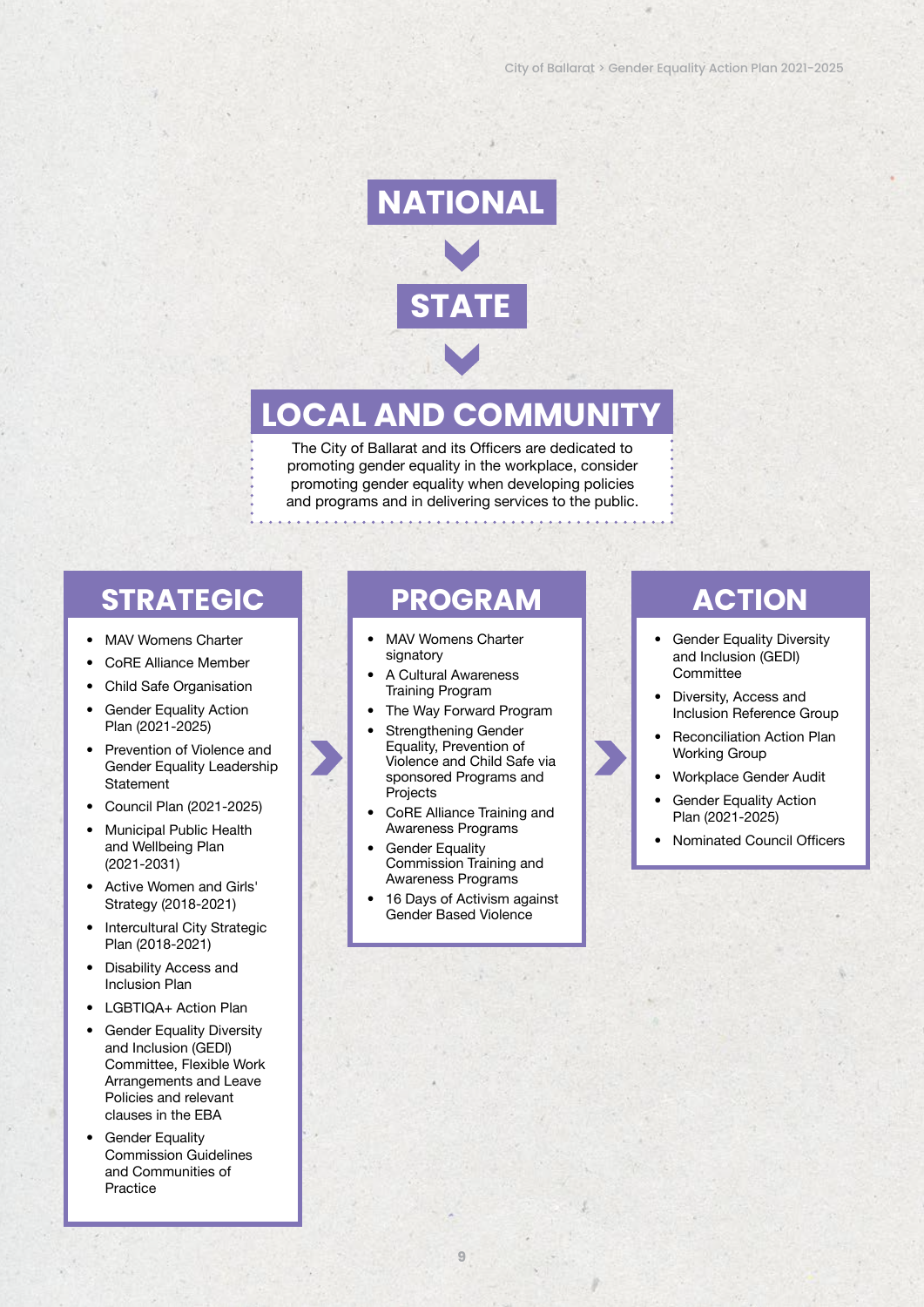

## **LOCAL AND COMMUNIT**

The City of Ballarat and its Officers are dedicated to promoting gender equality in the workplace, consider promoting gender equality when developing policies and programs and in delivering services to the public.

## **STRATEGIC PROGRAM ACTION**

- MAV Womens Charter
- CoRE Alliance Member
- Child Safe Organisation
- Gender Equality Action Plan (2021-2025)
- Prevention of Violence and Gender Equality Leadership **Statement**
- Council Plan (2021-2025)
- Municipal Public Health and Wellbeing Plan (2021-2031)
- Active Women and Girls' Strategy (2018-2021)
- Intercultural City Strategic Plan (2018-2021)
- Disability Access and Inclusion Plan
- LGBTIQA+ Action Plan
- Gender Equality Diversity and Inclusion (GEDI) Committee, Flexible Work Arrangements and Leave Policies and relevant clauses in the EBA
- **Gender Equality** Commission Guidelines and Communities of Practice

- MAV Womens Charter signatory
- A Cultural Awareness Training Program
- The Way Forward Program
- Strengthening Gender Equality, Prevention of Violence and Child Safe via sponsored Programs and **Projects**
- CoRE Alliance Training and Awareness Programs
- **Gender Equality** Commission Training and Awareness Programs
- 16 Days of Activism against Gender Based Violence

- **Gender Equality Diversity** and Inclusion (GEDI) **Committee**
- Diversity, Access and Inclusion Reference Group
- Reconciliation Action Plan Working Group
- Workplace Gender Audit
- Gender Equality Action Plan (2021-2025)
- Nominated Council Officers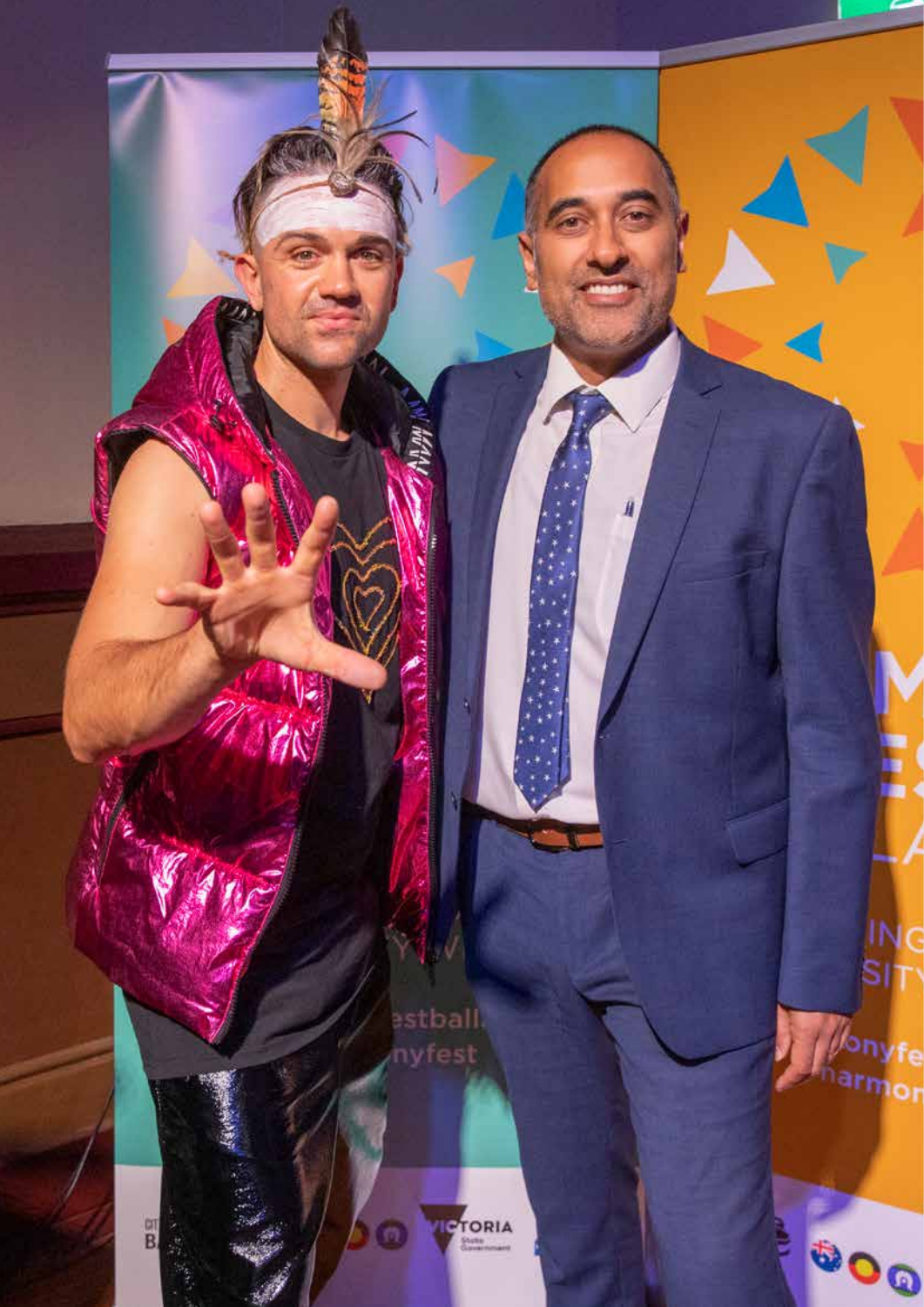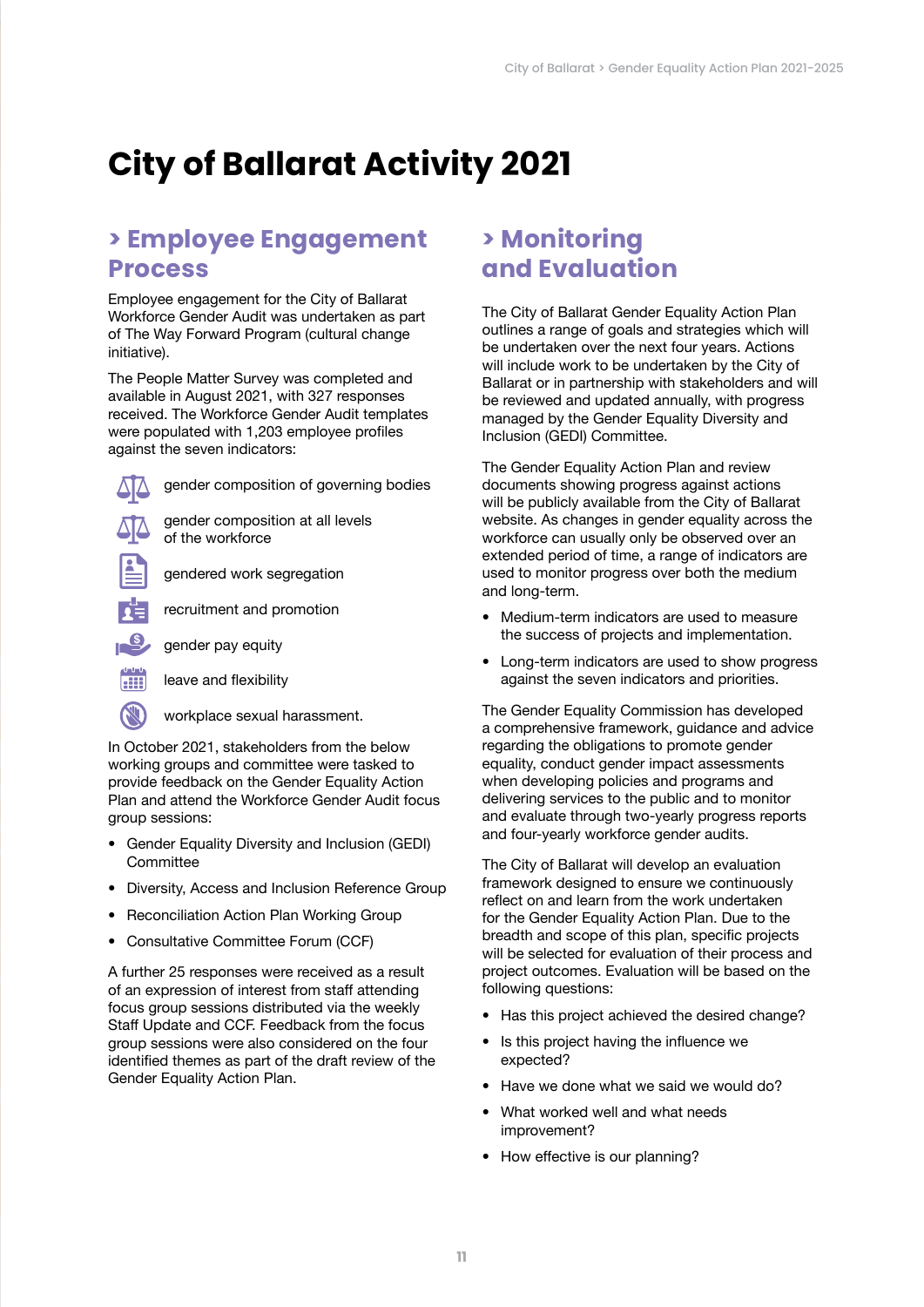# **City of Ballarat Activity 2021**

### **> Employee Engagement Process**

Employee engagement for the City of Ballarat Workforce Gender Audit was undertaken as part of The Way Forward Program (cultural change initiative).

The People Matter Survey was completed and available in August 2021, with 327 responses received. The Workforce Gender Audit templates were populated with 1,203 employee profiles against the seven indicators:



gender composition of governing bodies

- gender composition at all levels of the workforce
- - gendered work segregation
	- recruitment and promotion
	- gender pay equity \$
- leave and flexibility **RTH** 
	- workplace sexual harassment.

In October 2021, stakeholders from the below working groups and committee were tasked to provide feedback on the Gender Equality Action Plan and attend the Workforce Gender Audit focus group sessions:

- Gender Equality Diversity and Inclusion (GEDI) **Committee**
- Diversity, Access and Inclusion Reference Group
- Reconciliation Action Plan Working Group
- Consultative Committee Forum (CCF)

A further 25 responses were received as a result of an expression of interest from staff attending focus group sessions distributed via the weekly Staff Update and CCF. Feedback from the focus group sessions were also considered on the four identified themes as part of the draft review of the Gender Equality Action Plan.

## **> Monitoring and Evaluation**

The City of Ballarat Gender Equality Action Plan outlines a range of goals and strategies which will be undertaken over the next four years. Actions will include work to be undertaken by the City of Ballarat or in partnership with stakeholders and will be reviewed and updated annually, with progress managed by the Gender Equality Diversity and Inclusion (GEDI) Committee.

The Gender Equality Action Plan and review documents showing progress against actions will be publicly available from the City of Ballarat website. As changes in gender equality across the workforce can usually only be observed over an extended period of time, a range of indicators are used to monitor progress over both the medium and long-term.

- Medium-term indicators are used to measure the success of projects and implementation.
- Long-term indicators are used to show progress against the seven indicators and priorities.

The Gender Equality Commission has developed a comprehensive framework, guidance and advice regarding the obligations to promote gender equality, conduct gender impact assessments when developing policies and programs and delivering services to the public and to monitor and evaluate through two-yearly progress reports and four-yearly workforce gender audits.

The City of Ballarat will develop an evaluation framework designed to ensure we continuously reflect on and learn from the work undertaken for the Gender Equality Action Plan. Due to the breadth and scope of this plan, specific projects will be selected for evaluation of their process and project outcomes. Evaluation will be based on the following questions:

- Has this project achieved the desired change?
- Is this project having the influence we expected?
- Have we done what we said we would do?
- What worked well and what needs improvement?
- How effective is our planning?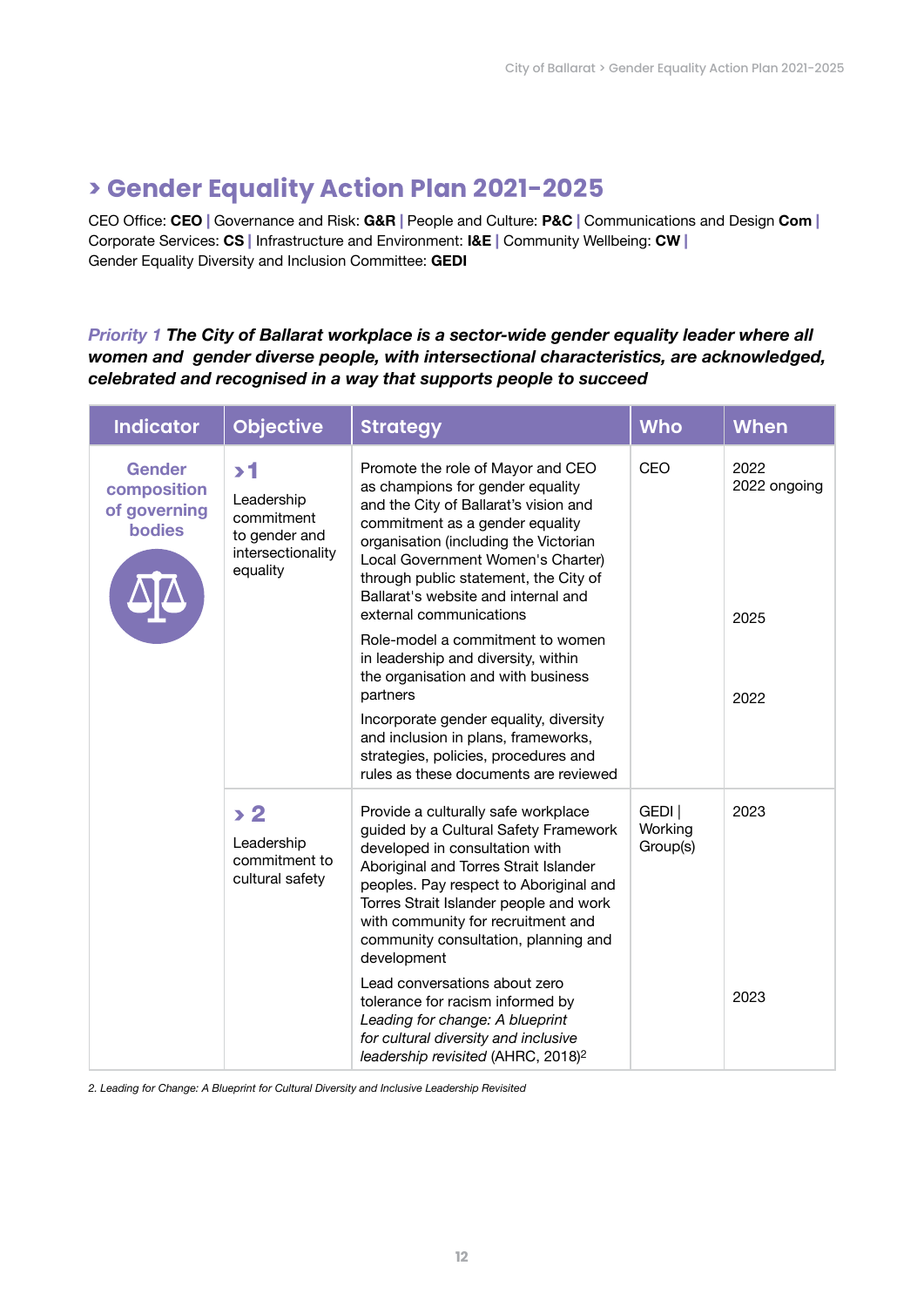## **> Gender Equality Action Plan 2021-2025**

CEO Office: CEO | Governance and Risk: G&R | People and Culture: P&C | Communications and Design Com | Corporate Services: CS | Infrastructure and Environment: I&E | Community Wellbeing: CW | Gender Equality Diversity and Inclusion Committee: GEDI

#### *Priority 1 The City of Ballarat workplace is a sector-wide gender equality leader where all women and gender diverse people, with intersectional characteristics, are acknowledged, celebrated and recognised in a way that supports people to succeed*

| <b>Indicator</b>                                              | <b>Objective</b>                                                                           | <b>Strategy</b>                                                                                                                                                                                                                                                                                                                                                                                                                                                                                                                                                                                                                           | <b>Who</b>                    | <b>When</b>                          |
|---------------------------------------------------------------|--------------------------------------------------------------------------------------------|-------------------------------------------------------------------------------------------------------------------------------------------------------------------------------------------------------------------------------------------------------------------------------------------------------------------------------------------------------------------------------------------------------------------------------------------------------------------------------------------------------------------------------------------------------------------------------------------------------------------------------------------|-------------------------------|--------------------------------------|
| <b>Gender</b><br>composition<br>of governing<br><b>bodies</b> | $\mathbf{z}$<br>Leadership<br>commitment<br>to gender and<br>intersectionality<br>equality | Promote the role of Mayor and CEO<br>as champions for gender equality<br>and the City of Ballarat's vision and<br>commitment as a gender equality<br>organisation (including the Victorian<br>Local Government Women's Charter)<br>through public statement, the City of<br>Ballarat's website and internal and<br>external communications<br>Role-model a commitment to women<br>in leadership and diversity, within<br>the organisation and with business<br>partners<br>Incorporate gender equality, diversity<br>and inclusion in plans, frameworks,<br>strategies, policies, procedures and<br>rules as these documents are reviewed | CEO                           | 2022<br>2022 ongoing<br>2025<br>2022 |
|                                                               | > 2<br>Leadership<br>commitment to<br>cultural safety                                      | Provide a culturally safe workplace<br>guided by a Cultural Safety Framework<br>developed in consultation with<br>Aboriginal and Torres Strait Islander<br>peoples. Pay respect to Aboriginal and<br>Torres Strait Islander people and work<br>with community for recruitment and<br>community consultation, planning and<br>development<br>Lead conversations about zero<br>tolerance for racism informed by<br>Leading for change: A blueprint<br>for cultural diversity and inclusive<br>leadership revisited (AHRC, 2018) <sup>2</sup>                                                                                                | GEDI  <br>Working<br>Group(s) | 2023<br>2023                         |

*2. Leading for Change: A Blueprint for Cultural Diversity and Inclusive Leadership Revisited*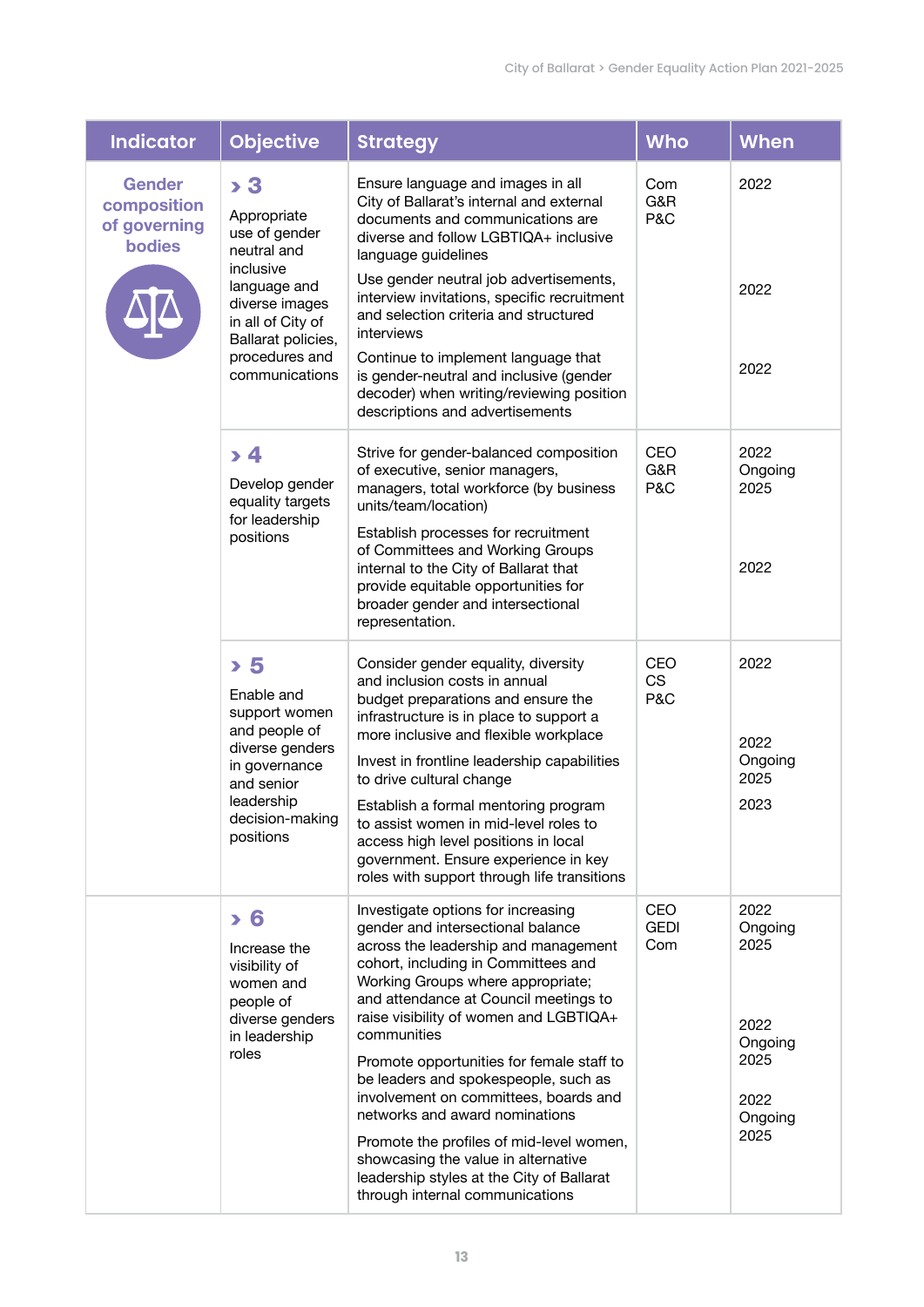| <b>Indicator</b>                                              | Objective                                                                                                                                                                        | <b>Strategy</b>                                                                                                                                                                                                                                                                                                                                                                                                                                                                                                                                                                                                                  | <b>Who</b>                | <b>When</b>                                                                   |
|---------------------------------------------------------------|----------------------------------------------------------------------------------------------------------------------------------------------------------------------------------|----------------------------------------------------------------------------------------------------------------------------------------------------------------------------------------------------------------------------------------------------------------------------------------------------------------------------------------------------------------------------------------------------------------------------------------------------------------------------------------------------------------------------------------------------------------------------------------------------------------------------------|---------------------------|-------------------------------------------------------------------------------|
| <b>Gender</b><br>composition<br>of governing<br><b>bodies</b> | > 3<br>Appropriate<br>use of gender<br>neutral and<br>inclusive<br>language and<br>diverse images<br>in all of City of<br>Ballarat policies,<br>procedures and<br>communications | Ensure language and images in all<br>City of Ballarat's internal and external<br>documents and communications are<br>diverse and follow LGBTIQA+ inclusive<br>language guidelines<br>Use gender neutral job advertisements,<br>interview invitations, specific recruitment<br>and selection criteria and structured<br>interviews<br>Continue to implement language that<br>is gender-neutral and inclusive (gender<br>decoder) when writing/reviewing position<br>descriptions and advertisements                                                                                                                               | Com<br>G&R<br>P&C         | 2022<br>2022<br>2022                                                          |
|                                                               | > 4<br>Develop gender<br>equality targets<br>for leadership<br>positions                                                                                                         | Strive for gender-balanced composition<br>of executive, senior managers,<br>managers, total workforce (by business<br>units/team/location)<br>Establish processes for recruitment<br>of Committees and Working Groups<br>internal to the City of Ballarat that<br>provide equitable opportunities for<br>broader gender and intersectional<br>representation.                                                                                                                                                                                                                                                                    | CEO<br>G&R<br>P&C         | 2022<br>Ongoing<br>2025<br>2022                                               |
|                                                               | > 5<br>Enable and<br>support women<br>and people of<br>diverse genders<br>in governance<br>and senior<br>leadership<br>decision-making<br>positions                              | Consider gender equality, diversity<br>and inclusion costs in annual<br>budget preparations and ensure the<br>infrastructure is in place to support a<br>more inclusive and flexible workplace<br>Invest in frontline leadership capabilities<br>to drive cultural change<br>Establish a formal mentoring program<br>to assist women in mid-level roles to<br>access high level positions in local<br>government. Ensure experience in key<br>roles with support through life transitions                                                                                                                                        | CEO<br><b>CS</b><br>P&C   | 2022<br>2022<br>Ongoing<br>2025<br>2023                                       |
|                                                               | > 6<br>Increase the<br>visibility of<br>women and<br>people of<br>diverse genders<br>in leadership<br>roles                                                                      | Investigate options for increasing<br>gender and intersectional balance<br>across the leadership and management<br>cohort, including in Committees and<br>Working Groups where appropriate;<br>and attendance at Council meetings to<br>raise visibility of women and LGBTIQA+<br>communities<br>Promote opportunities for female staff to<br>be leaders and spokespeople, such as<br>involvement on committees, boards and<br>networks and award nominations<br>Promote the profiles of mid-level women,<br>showcasing the value in alternative<br>leadership styles at the City of Ballarat<br>through internal communications | CEO<br><b>GEDI</b><br>Com | 2022<br>Ongoing<br>2025<br>2022<br>Ongoing<br>2025<br>2022<br>Ongoing<br>2025 |

I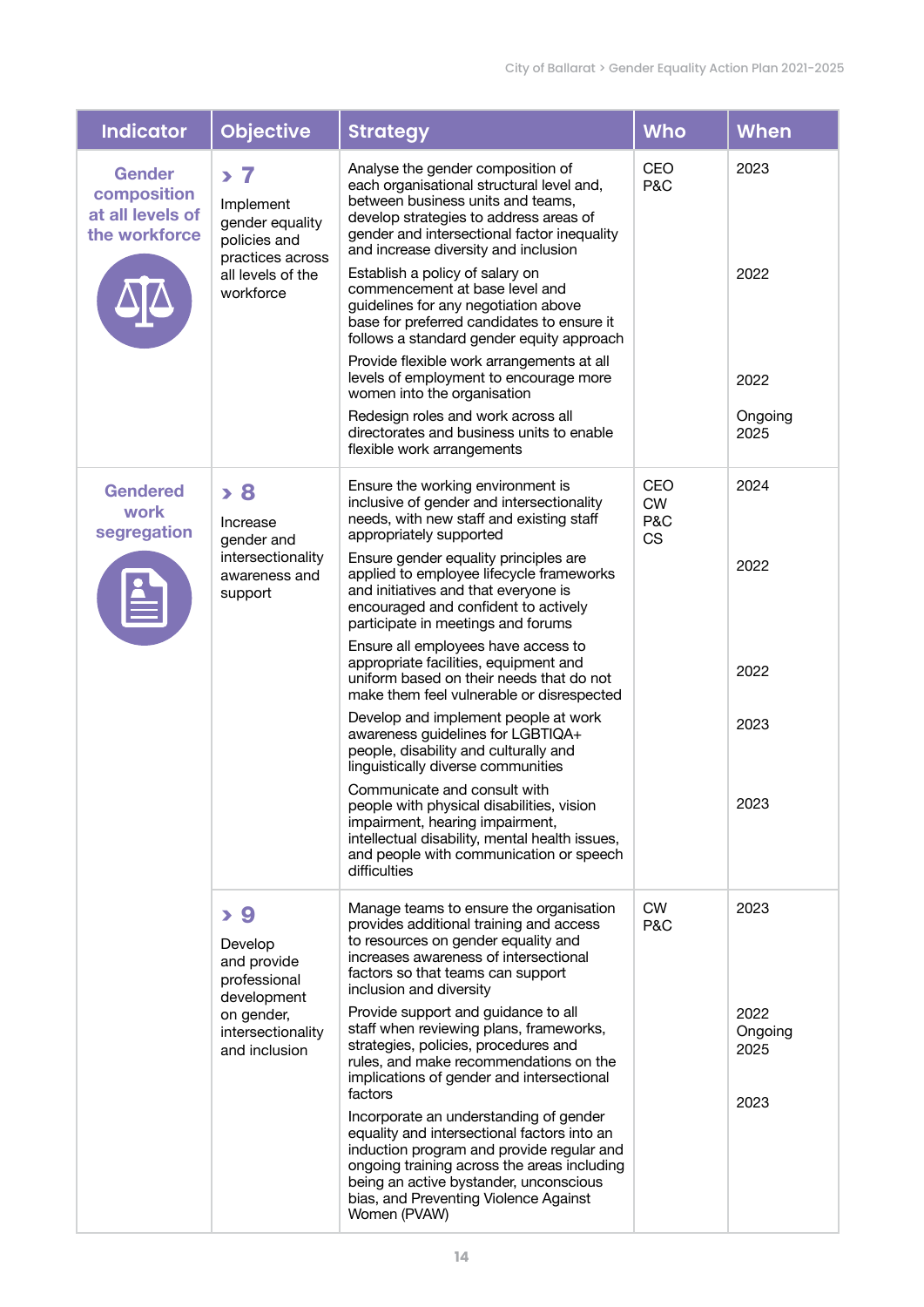| <b>Indicator</b>                                                  | <b>Objective</b>                                                                                                                       | <b>Strategy</b>                                                                                                                                                                                                                                                                      | <b>Who</b>                           | <b>When</b>             |
|-------------------------------------------------------------------|----------------------------------------------------------------------------------------------------------------------------------------|--------------------------------------------------------------------------------------------------------------------------------------------------------------------------------------------------------------------------------------------------------------------------------------|--------------------------------------|-------------------------|
| <b>Gender</b><br>composition<br>at all levels of<br>the workforce | >7<br>Implement<br>gender equality<br>policies and<br>practices across<br>all levels of the<br>workforce                               | Analyse the gender composition of<br>each organisational structural level and,<br>between business units and teams,<br>develop strategies to address areas of<br>gender and intersectional factor inequality<br>and increase diversity and inclusion                                 | CEO<br>P&C                           | 2023                    |
|                                                                   |                                                                                                                                        | Establish a policy of salary on<br>commencement at base level and<br>guidelines for any negotiation above<br>base for preferred candidates to ensure it<br>follows a standard gender equity approach                                                                                 |                                      | 2022                    |
|                                                                   |                                                                                                                                        | Provide flexible work arrangements at all<br>levels of employment to encourage more<br>women into the organisation                                                                                                                                                                   |                                      | 2022                    |
|                                                                   |                                                                                                                                        | Redesign roles and work across all<br>directorates and business units to enable<br>flexible work arrangements                                                                                                                                                                        |                                      | Ongoing<br>2025         |
| <b>Gendered</b><br>work<br>segregation                            | > 8<br>Increase<br>gender and                                                                                                          | Ensure the working environment is<br>inclusive of gender and intersectionality<br>needs, with new staff and existing staff<br>appropriately supported                                                                                                                                | CEO<br><b>CW</b><br>P&C<br><b>CS</b> | 2024                    |
|                                                                   | intersectionality<br>awareness and<br>support                                                                                          | Ensure gender equality principles are<br>applied to employee lifecycle frameworks<br>and initiatives and that everyone is<br>encouraged and confident to actively<br>participate in meetings and forums                                                                              |                                      | 2022                    |
|                                                                   |                                                                                                                                        | Ensure all employees have access to<br>appropriate facilities, equipment and<br>uniform based on their needs that do not<br>make them feel vulnerable or disrespected                                                                                                                |                                      | 2022                    |
|                                                                   |                                                                                                                                        | Develop and implement people at work<br>awareness guidelines for LGBTIQA+<br>people, disability and culturally and<br>linguistically diverse communities                                                                                                                             |                                      | 2023                    |
|                                                                   |                                                                                                                                        | Communicate and consult with<br>people with physical disabilities, vision<br>impairment, hearing impairment,<br>intellectual disability, mental health issues,<br>and people with communication or speech<br>difficulties                                                            |                                      | 2023                    |
|                                                                   | $\mathbf{5}$ $\mathbf{9}$<br>Develop<br>and provide<br>professional<br>development<br>on gender,<br>intersectionality<br>and inclusion | Manage teams to ensure the organisation<br>provides additional training and access<br>to resources on gender equality and<br>increases awareness of intersectional<br>factors so that teams can support<br>inclusion and diversity                                                   | <b>CW</b><br>P&C                     | 2023                    |
|                                                                   |                                                                                                                                        | Provide support and guidance to all<br>staff when reviewing plans, frameworks,<br>strategies, policies, procedures and<br>rules, and make recommendations on the<br>implications of gender and intersectional<br>factors                                                             |                                      | 2022<br>Ongoing<br>2025 |
|                                                                   |                                                                                                                                        | Incorporate an understanding of gender<br>equality and intersectional factors into an<br>induction program and provide regular and<br>ongoing training across the areas including<br>being an active bystander, unconscious<br>bias, and Preventing Violence Against<br>Women (PVAW) |                                      | 2023                    |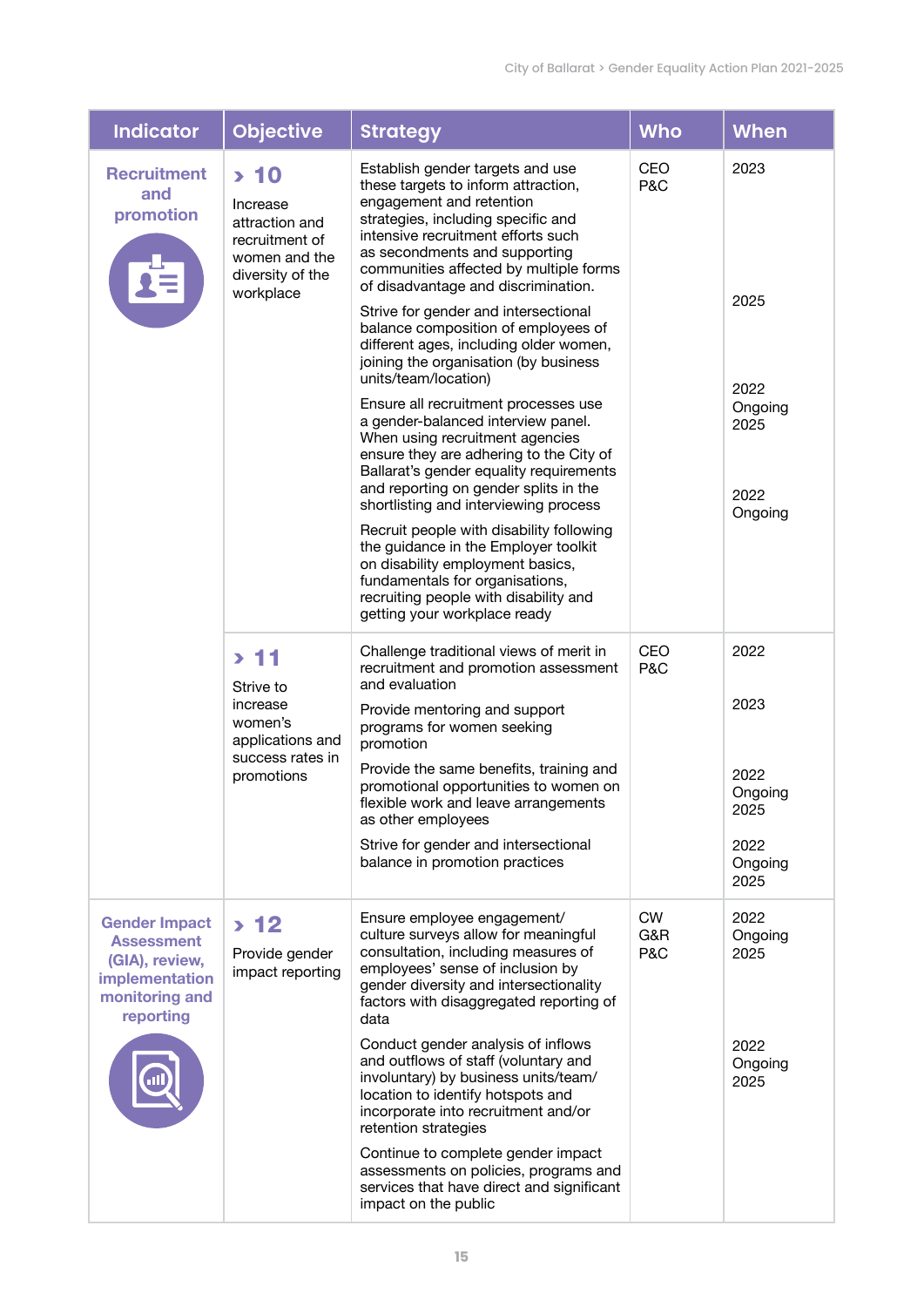| <b>Indicator</b>                                                                                             | <b>Objective</b>                                                                                      | <b>Strategy</b>                                                                                                                                                                                                                                                                       | <b>Who</b>              | <b>When</b>                     |
|--------------------------------------------------------------------------------------------------------------|-------------------------------------------------------------------------------------------------------|---------------------------------------------------------------------------------------------------------------------------------------------------------------------------------------------------------------------------------------------------------------------------------------|-------------------------|---------------------------------|
| <b>Recruitment</b><br>and<br>promotion<br>11<br>$\blacktriangleright$                                        | >10<br>Increase<br>attraction and<br>recruitment of<br>women and the<br>diversity of the<br>workplace | Establish gender targets and use<br>these targets to inform attraction,<br>engagement and retention<br>strategies, including specific and<br>intensive recruitment efforts such<br>as secondments and supporting<br>communities affected by multiple forms                            | CEO<br>P&C              | 2023                            |
|                                                                                                              |                                                                                                       | of disadvantage and discrimination.<br>Strive for gender and intersectional<br>balance composition of employees of<br>different ages, including older women,<br>joining the organisation (by business<br>units/team/location)                                                         |                         | 2025                            |
|                                                                                                              |                                                                                                       | Ensure all recruitment processes use<br>a gender-balanced interview panel.<br>When using recruitment agencies<br>ensure they are adhering to the City of<br>Ballarat's gender equality requirements<br>and reporting on gender splits in the<br>shortlisting and interviewing process |                         | 2022<br>Ongoing<br>2025<br>2022 |
|                                                                                                              |                                                                                                       | Recruit people with disability following<br>the guidance in the Employer toolkit<br>on disability employment basics,<br>fundamentals for organisations,<br>recruiting people with disability and<br>getting your workplace ready                                                      |                         | Ongoing                         |
|                                                                                                              | Strive to<br>increase<br>women's<br>applications and                                                  | Challenge traditional views of merit in<br>recruitment and promotion assessment<br>and evaluation                                                                                                                                                                                     | <b>CEO</b><br>P&C       | 2022                            |
|                                                                                                              |                                                                                                       | Provide mentoring and support<br>programs for women seeking<br>promotion                                                                                                                                                                                                              |                         | 2023                            |
|                                                                                                              | success rates in<br>promotions                                                                        | Provide the same benefits, training and<br>promotional opportunities to women on<br>flexible work and leave arrangements<br>as other employees                                                                                                                                        |                         | 2022<br>Ongoing<br>2025         |
|                                                                                                              |                                                                                                       | Strive for gender and intersectional<br>balance in promotion practices                                                                                                                                                                                                                |                         | 2022<br>Ongoing<br>2025         |
| <b>Gender Impact</b><br><b>Assessment</b><br>(GIA), review,<br>implementation<br>monitoring and<br>reporting | >12<br>Provide gender<br>impact reporting                                                             | Ensure employee engagement/<br>culture surveys allow for meaningful<br>consultation, including measures of<br>employees' sense of inclusion by<br>gender diversity and intersectionality<br>factors with disaggregated reporting of<br>data                                           | <b>CW</b><br>G&R<br>P&C | 2022<br>Ongoing<br>2025         |
|                                                                                                              |                                                                                                       | Conduct gender analysis of inflows<br>and outflows of staff (voluntary and<br>involuntary) by business units/team/<br>location to identify hotspots and<br>incorporate into recruitment and/or<br>retention strategies                                                                |                         | 2022<br>Ongoing<br>2025         |
|                                                                                                              |                                                                                                       | Continue to complete gender impact<br>assessments on policies, programs and<br>services that have direct and significant<br>impact on the public                                                                                                                                      |                         |                                 |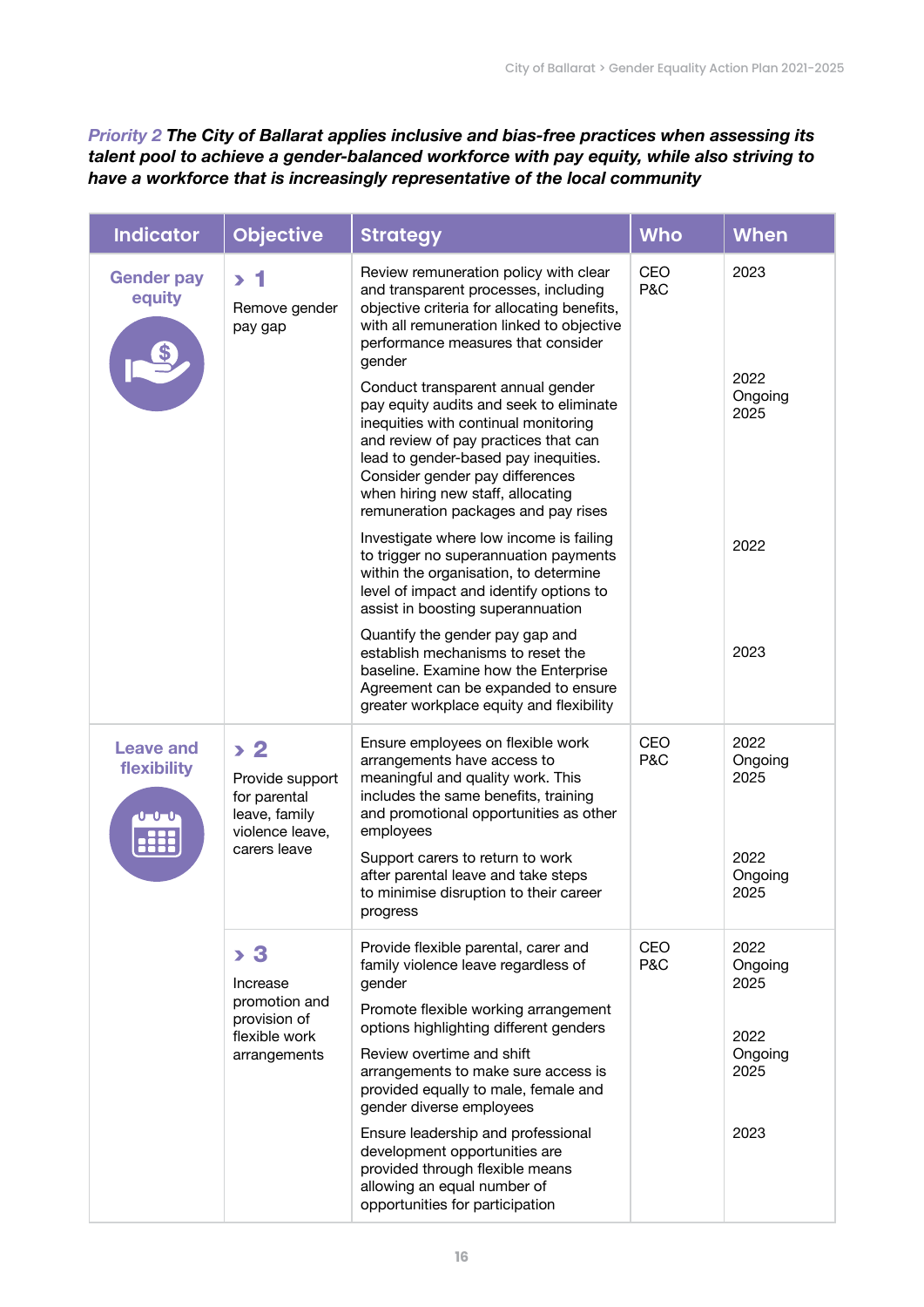#### *Priority 2 The City of Ballarat applies inclusive and bias-free practices when assessing its talent pool to achieve a gender-balanced workforce with pay equity, while also striving to have a workforce that is increasingly representative of the local community*

| <b>Indicator</b>                             | <b>Objective</b>                                                           | <b>Strategy</b>                                                                                                                                                                                                                                                                                                     | <b>Who</b>        | <b>When</b>             |
|----------------------------------------------|----------------------------------------------------------------------------|---------------------------------------------------------------------------------------------------------------------------------------------------------------------------------------------------------------------------------------------------------------------------------------------------------------------|-------------------|-------------------------|
| <b>Gender pay</b><br>Y.<br>equity<br>pay gap | Remove gender                                                              | Review remuneration policy with clear<br>and transparent processes, including<br>objective criteria for allocating benefits,<br>with all remuneration linked to objective<br>performance measures that consider<br>gender                                                                                           | CEO<br>P&C        | 2023                    |
|                                              |                                                                            | Conduct transparent annual gender<br>pay equity audits and seek to eliminate<br>inequities with continual monitoring<br>and review of pay practices that can<br>lead to gender-based pay inequities.<br>Consider gender pay differences<br>when hiring new staff, allocating<br>remuneration packages and pay rises |                   | 2022<br>Ongoing<br>2025 |
|                                              |                                                                            | Investigate where low income is failing<br>to trigger no superannuation payments<br>within the organisation, to determine<br>level of impact and identify options to<br>assist in boosting superannuation                                                                                                           |                   | 2022                    |
|                                              |                                                                            | Quantify the gender pay gap and<br>establish mechanisms to reset the<br>baseline. Examine how the Enterprise<br>Agreement can be expanded to ensure<br>greater workplace equity and flexibility                                                                                                                     |                   | 2023                    |
| <b>Leave and</b><br>flexibility              | > 2<br>Provide support<br>for parental<br>leave, family<br>violence leave, | Ensure employees on flexible work<br>arrangements have access to<br>meaningful and quality work. This<br>includes the same benefits, training<br>and promotional opportunities as other<br>employees                                                                                                                | CEO<br>P&C        | 2022<br>Ongoing<br>2025 |
|                                              | carers leave                                                               | Support carers to return to work<br>after parental leave and take steps<br>to minimise disruption to their career<br>progress                                                                                                                                                                                       |                   | 2022<br>Ongoing<br>2025 |
|                                              | > 3<br>Increase<br>promotion and<br>provision of                           | Provide flexible parental, carer and<br>family violence leave regardless of<br>gender<br>Promote flexible working arrangement                                                                                                                                                                                       | <b>CEO</b><br>P&C | 2022<br>Ongoing<br>2025 |
|                                              | flexible work<br>arrangements                                              | options highlighting different genders<br>Review overtime and shift<br>arrangements to make sure access is<br>provided equally to male, female and<br>gender diverse employees                                                                                                                                      |                   | 2022<br>Ongoing<br>2025 |
|                                              |                                                                            | Ensure leadership and professional<br>development opportunities are<br>provided through flexible means<br>allowing an equal number of<br>opportunities for participation                                                                                                                                            |                   | 2023                    |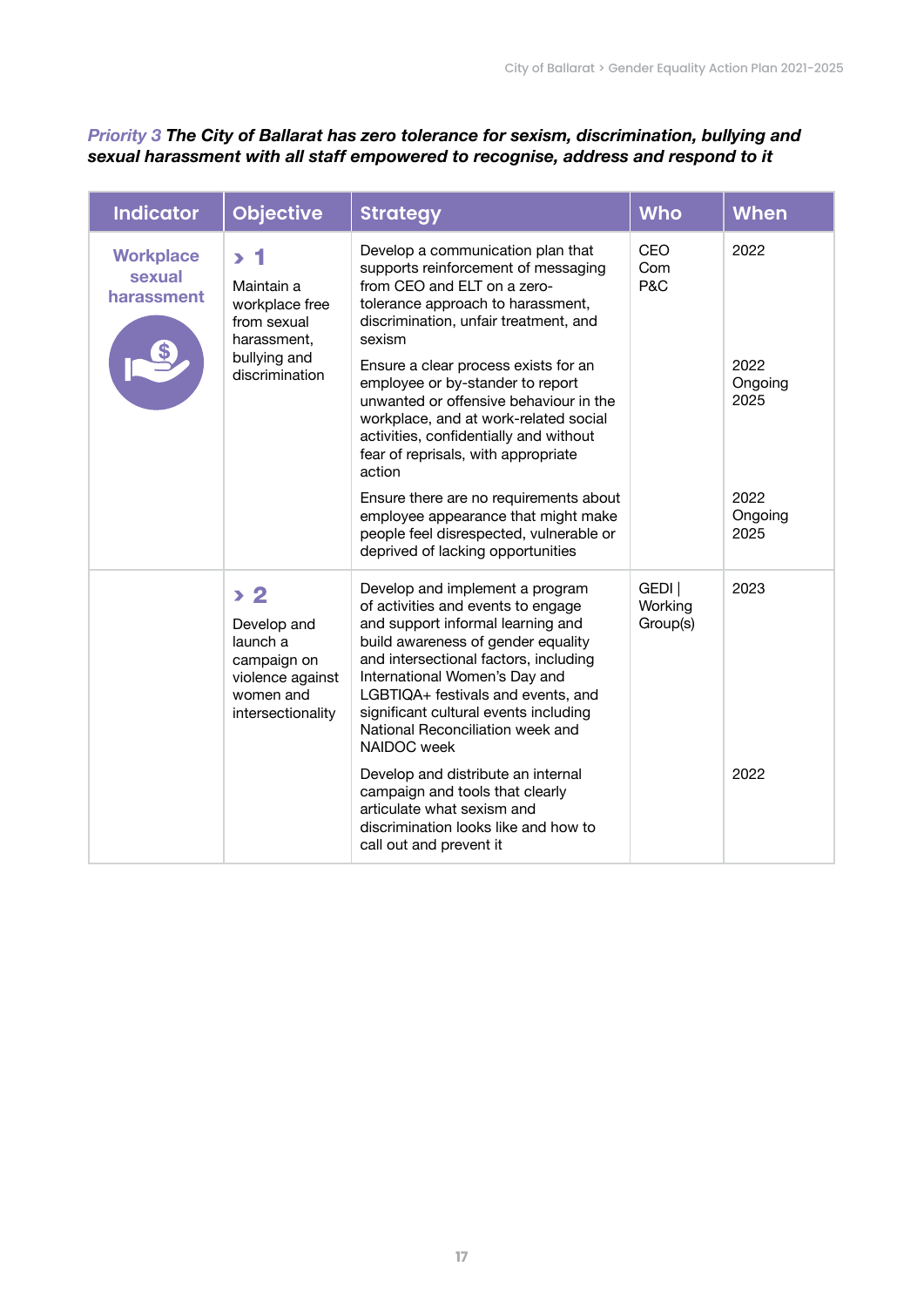#### *Priority 3 The City of Ballarat has zero tolerance for sexism, discrimination, bullying and sexual harassment with all staff empowered to recognise, address and respond to it*

| <b>Indicator</b>                                                                                                                                                  | <b>Objective</b>                                                                                                                                                                                                                                       | <b>Strategy</b>                                                                                                                                                                                                                                                                                                                                              | <b>Who</b>                    | <b>When</b>             |
|-------------------------------------------------------------------------------------------------------------------------------------------------------------------|--------------------------------------------------------------------------------------------------------------------------------------------------------------------------------------------------------------------------------------------------------|--------------------------------------------------------------------------------------------------------------------------------------------------------------------------------------------------------------------------------------------------------------------------------------------------------------------------------------------------------------|-------------------------------|-------------------------|
| <b>Workplace</b><br>$\blacktriangleright$<br>sexual<br>Maintain a<br>harassment<br>workplace free<br>from sexual<br>harassment.<br>bullying and<br>discrimination |                                                                                                                                                                                                                                                        | Develop a communication plan that<br>supports reinforcement of messaging<br>from CEO and ELT on a zero-<br>tolerance approach to harassment,<br>discrimination, unfair treatment, and<br>sexism                                                                                                                                                              | <b>CEO</b><br>Com<br>P&C      | 2022                    |
|                                                                                                                                                                   | Ensure a clear process exists for an<br>employee or by-stander to report<br>unwanted or offensive behaviour in the<br>workplace, and at work-related social<br>activities, confidentially and without<br>fear of reprisals, with appropriate<br>action |                                                                                                                                                                                                                                                                                                                                                              | 2022<br>Ongoing<br>2025       |                         |
|                                                                                                                                                                   |                                                                                                                                                                                                                                                        | Ensure there are no requirements about<br>employee appearance that might make<br>people feel disrespected, vulnerable or<br>deprived of lacking opportunities                                                                                                                                                                                                |                               | 2022<br>Ongoing<br>2025 |
|                                                                                                                                                                   | > 2<br>Develop and<br>launch a<br>campaign on<br>violence against<br>women and<br>intersectionality                                                                                                                                                    | Develop and implement a program<br>of activities and events to engage<br>and support informal learning and<br>build awareness of gender equality<br>and intersectional factors, including<br>International Women's Day and<br>LGBTIQA+ festivals and events, and<br>significant cultural events including<br>National Reconciliation week and<br>NAIDOC week | GEDI  <br>Working<br>Group(s) | 2023                    |
|                                                                                                                                                                   |                                                                                                                                                                                                                                                        | Develop and distribute an internal<br>campaign and tools that clearly<br>articulate what sexism and<br>discrimination looks like and how to<br>call out and prevent it                                                                                                                                                                                       |                               | 2022                    |